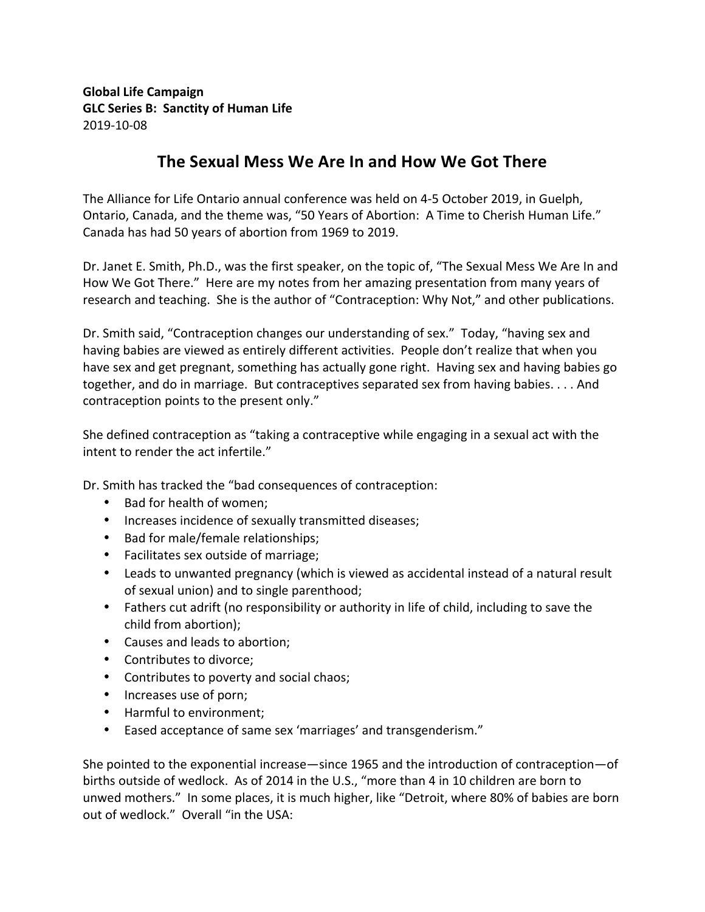**Global Life Campaign GLC Series B: Sanctity of Human Life** 2019-10-08

## The Sexual Mess We Are In and How We Got There

The Alliance for Life Ontario annual conference was held on 4-5 October 2019, in Guelph, Ontario, Canada, and the theme was, "50 Years of Abortion: A Time to Cherish Human Life." Canada has had 50 years of abortion from 1969 to 2019.

Dr. Janet E. Smith, Ph.D., was the first speaker, on the topic of, "The Sexual Mess We Are In and How We Got There." Here are my notes from her amazing presentation from many years of research and teaching. She is the author of "Contraception: Why Not," and other publications.

Dr. Smith said, "Contraception changes our understanding of sex." Today, "having sex and having babies are viewed as entirely different activities. People don't realize that when you have sex and get pregnant, something has actually gone right. Having sex and having babies go together, and do in marriage. But contraceptives separated sex from having babies. . . . And contraception points to the present only."

She defined contraception as "taking a contraceptive while engaging in a sexual act with the intent to render the act infertile."

Dr. Smith has tracked the "bad consequences of contraception:

- Bad for health of women;
- Increases incidence of sexually transmitted diseases;
- Bad for male/female relationships;
- Facilitates sex outside of marriage;
- Leads to unwanted pregnancy (which is viewed as accidental instead of a natural result of sexual union) and to single parenthood;
- Fathers cut adrift (no responsibility or authority in life of child, including to save the child from abortion);
- Causes and leads to abortion;
- Contributes to divorce;
- Contributes to poverty and social chaos;
- Increases use of porn;
- Harmful to environment;
- Eased acceptance of same sex 'marriages' and transgenderism."

She pointed to the exponential increase—since 1965 and the introduction of contraception—of births outside of wedlock. As of 2014 in the U.S., "more than 4 in 10 children are born to unwed mothers." In some places, it is much higher, like "Detroit, where 80% of babies are born out of wedlock." Overall "in the USA: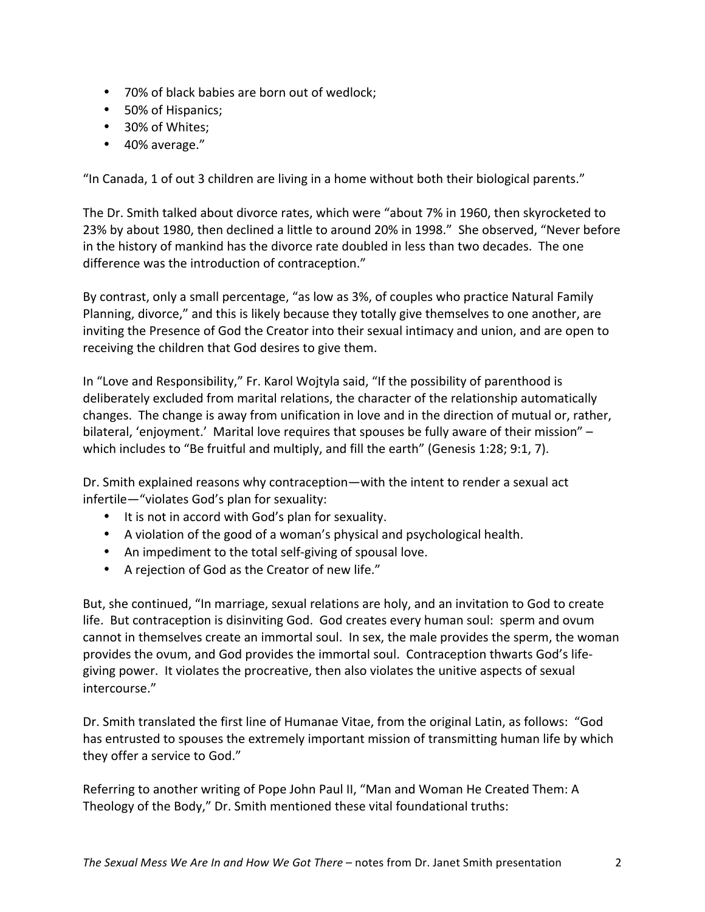- 70% of black babies are born out of wedlock;
- 50% of Hispanics;
- 30% of Whites;
- 40% average."

"In Canada, 1 of out 3 children are living in a home without both their biological parents."

The Dr. Smith talked about divorce rates, which were "about 7% in 1960, then skyrocketed to 23% by about 1980, then declined a little to around 20% in 1998." She observed, "Never before in the history of mankind has the divorce rate doubled in less than two decades. The one difference was the introduction of contraception."

By contrast, only a small percentage, "as low as 3%, of couples who practice Natural Family Planning, divorce," and this is likely because they totally give themselves to one another, are inviting the Presence of God the Creator into their sexual intimacy and union, and are open to receiving the children that God desires to give them.

In "Love and Responsibility," Fr. Karol Wojtyla said, "If the possibility of parenthood is deliberately excluded from marital relations, the character of the relationship automatically changes. The change is away from unification in love and in the direction of mutual or, rather, bilateral, 'enjoyment.' Marital love requires that spouses be fully aware of their mission" – which includes to "Be fruitful and multiply, and fill the earth" (Genesis 1:28; 9:1, 7).

Dr. Smith explained reasons why contraception—with the intent to render a sexual act infertile—"violates God's plan for sexuality:

- It is not in accord with God's plan for sexuality.
- A violation of the good of a woman's physical and psychological health.
- An impediment to the total self-giving of spousal love.
- A rejection of God as the Creator of new life."

But, she continued, "In marriage, sexual relations are holy, and an invitation to God to create life. But contraception is disinviting God. God creates every human soul: sperm and ovum cannot in themselves create an immortal soul. In sex, the male provides the sperm, the woman provides the ovum, and God provides the immortal soul. Contraception thwarts God's lifegiving power. It violates the procreative, then also violates the unitive aspects of sexual intercourse." 

Dr. Smith translated the first line of Humanae Vitae, from the original Latin, as follows: "God has entrusted to spouses the extremely important mission of transmitting human life by which they offer a service to God."

Referring to another writing of Pope John Paul II, "Man and Woman He Created Them: A Theology of the Body," Dr. Smith mentioned these vital foundational truths: